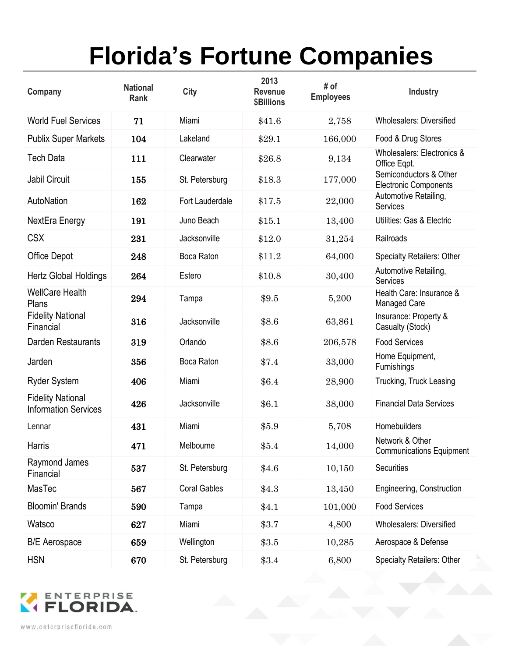## **Florida's Fortune Companies**

| Company                                                 | <b>National</b><br>Rank | <b>City</b>         | 2013<br><b>Revenue</b><br><b>\$Billions</b> | # of<br><b>Employees</b> | <b>Industry</b>                                        |
|---------------------------------------------------------|-------------------------|---------------------|---------------------------------------------|--------------------------|--------------------------------------------------------|
| <b>World Fuel Services</b>                              | 71                      | Miami               | \$41.6                                      | 2,758                    | <b>Wholesalers: Diversified</b>                        |
| <b>Publix Super Markets</b>                             | 104                     | Lakeland            | \$29.1                                      | 166,000                  | Food & Drug Stores                                     |
| <b>Tech Data</b>                                        | 111                     | Clearwater          | \$26.8                                      | 9,134                    | Wholesalers: Electronics &<br>Office Eqpt.             |
| Jabil Circuit                                           | 155                     | St. Petersburg      | \$18.3                                      | 177,000                  | Semiconductors & Other<br><b>Electronic Components</b> |
| AutoNation                                              | 162                     | Fort Lauderdale     | \$17.5                                      | 22,000                   | Automotive Retailing,<br><b>Services</b>               |
| NextEra Energy                                          | 191                     | Juno Beach          | \$15.1                                      | 13,400                   | Utilities: Gas & Electric                              |
| <b>CSX</b>                                              | 231                     | Jacksonville        | \$12.0                                      | 31,254                   | Railroads                                              |
| Office Depot                                            | 248                     | Boca Raton          | \$11.2                                      | 64,000                   | <b>Specialty Retailers: Other</b>                      |
| <b>Hertz Global Holdings</b>                            | 264                     | Estero              | \$10.8                                      | 30,400                   | Automotive Retailing,<br><b>Services</b>               |
| <b>WellCare Health</b><br>Plans                         | 294                     | Tampa               | \$9.5                                       | 5,200                    | Health Care: Insurance &<br>Managed Care               |
| <b>Fidelity National</b><br>Financial                   | 316                     | Jacksonville        | \$8.6                                       | 63,861                   | Insurance: Property &<br>Casualty (Stock)              |
| Darden Restaurants                                      | 319                     | Orlando             | \$8.6                                       | 206,578                  | <b>Food Services</b>                                   |
| Jarden                                                  | 356                     | Boca Raton          | \$7.4                                       | 33,000                   | Home Equipment,<br>Furnishings                         |
| <b>Ryder System</b>                                     | 406                     | Miami               | \$6.4                                       | 28,900                   | Trucking, Truck Leasing                                |
| <b>Fidelity National</b><br><b>Information Services</b> | 426                     | Jacksonville        | \$6.1                                       | 38,000                   | <b>Financial Data Services</b>                         |
| Lennar                                                  | 431                     | Miami               | \$5.9                                       | 5,708                    | Homebuilders                                           |
| Harris                                                  | 471                     | Melbourne           | \$5.4                                       | 14,000                   | Network & Other<br><b>Communications Equipment</b>     |
| Raymond James<br>Financial                              | 537                     | St. Petersburg      | \$4.6                                       | 10,150                   | Securities                                             |
| MasTec                                                  | 567                     | <b>Coral Gables</b> | \$4.3\$                                     | 13,450                   | Engineering, Construction                              |
| <b>Bloomin' Brands</b>                                  | 590                     | Tampa               | \$4.1                                       | 101,000                  | <b>Food Services</b>                                   |
| Watsco                                                  | 627                     | Miami               | \$3.7                                       | 4,800                    | <b>Wholesalers: Diversified</b>                        |
| <b>B/E</b> Aerospace                                    | 659                     | Wellington          | \$3.5                                       | 10,285                   | Aerospace & Defense                                    |
| <b>HSN</b>                                              | 670                     | St. Petersburg      | \$3.4                                       | 6,800                    | <b>Specialty Retailers: Other</b>                      |



www.enterpriseflorida.com